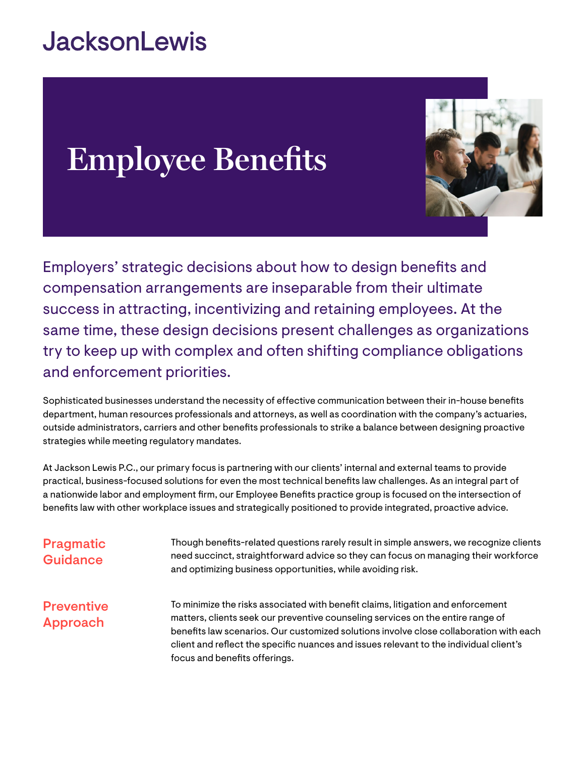## **JacksonLewis**

# **Employee Benefits**



Employers' strategic decisions about how to design benefits and compensation arrangements are inseparable from their ultimate success in attracting, incentivizing and retaining employees. At the same time, these design decisions present challenges as organizations try to keep up with complex and often shifting compliance obligations and enforcement priorities.

Sophisticated businesses understand the necessity of effective communication between their in-house benefits department, human resources professionals and attorneys, as well as coordination with the company's actuaries, outside administrators, carriers and other benefits professionals to strike a balance between designing proactive strategies while meeting regulatory mandates.

At Jackson Lewis P.C., our primary focus is partnering with our clients' internal and external teams to provide practical, business-focused solutions for even the most technical benefits law challenges. As an integral part of a nationwide labor and employment firm, our Employee Benefits practice group is focused on the intersection of benefits law with other workplace issues and strategically positioned to provide integrated, proactive advice.

| <b>Pragmatic</b><br>Guidance  | Though benefits-related questions rarely result in simple answers, we recognize clients<br>need succinct, straightforward advice so they can focus on managing their workforce<br>and optimizing business opportunities, while avoiding risk.                                                                                                                                            |
|-------------------------------|------------------------------------------------------------------------------------------------------------------------------------------------------------------------------------------------------------------------------------------------------------------------------------------------------------------------------------------------------------------------------------------|
| <b>Preventive</b><br>Approach | To minimize the risks associated with benefit claims, litigation and enforcement<br>matters, clients seek our preventive counseling services on the entire range of<br>benefits law scenarios. Our customized solutions involve close collaboration with each<br>client and reflect the specific nuances and issues relevant to the individual client's<br>focus and benefits offerings. |